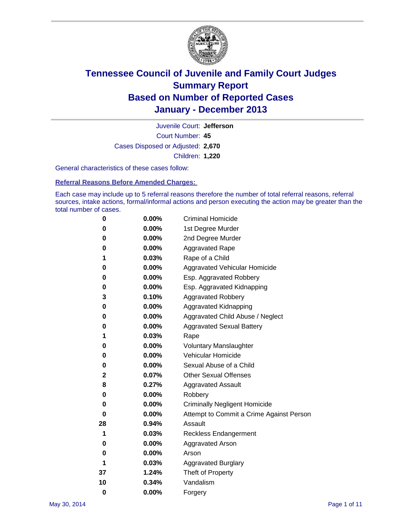

Court Number: **45** Juvenile Court: **Jefferson** Cases Disposed or Adjusted: **2,670** Children: **1,220**

General characteristics of these cases follow:

**Referral Reasons Before Amended Charges:** 

Each case may include up to 5 referral reasons therefore the number of total referral reasons, referral sources, intake actions, formal/informal actions and person executing the action may be greater than the total number of cases.

| 0        | $0.00\%$ | <b>Criminal Homicide</b>                 |
|----------|----------|------------------------------------------|
| 0        | 0.00%    | 1st Degree Murder                        |
| 0        | 0.00%    | 2nd Degree Murder                        |
| 0        | $0.00\%$ | <b>Aggravated Rape</b>                   |
| 1        | 0.03%    | Rape of a Child                          |
| 0        | 0.00%    | <b>Aggravated Vehicular Homicide</b>     |
| 0        | $0.00\%$ | Esp. Aggravated Robbery                  |
| 0        | 0.00%    | Esp. Aggravated Kidnapping               |
| 3        | 0.10%    | <b>Aggravated Robbery</b>                |
| 0        | $0.00\%$ | Aggravated Kidnapping                    |
| 0        | 0.00%    | Aggravated Child Abuse / Neglect         |
| 0        | 0.00%    | <b>Aggravated Sexual Battery</b>         |
| 1        | 0.03%    | Rape                                     |
| 0        | 0.00%    | <b>Voluntary Manslaughter</b>            |
| 0        | 0.00%    | Vehicular Homicide                       |
| 0        | $0.00\%$ | Sexual Abuse of a Child                  |
| 2        | 0.07%    | <b>Other Sexual Offenses</b>             |
| 8        | 0.27%    | <b>Aggravated Assault</b>                |
| 0        | 0.00%    | Robbery                                  |
| 0        | 0.00%    | <b>Criminally Negligent Homicide</b>     |
| 0        | 0.00%    | Attempt to Commit a Crime Against Person |
| 28       | 0.94%    | Assault                                  |
| 1        | 0.03%    | <b>Reckless Endangerment</b>             |
| 0        | 0.00%    | <b>Aggravated Arson</b>                  |
| 0        | 0.00%    | Arson                                    |
| 1        | 0.03%    | <b>Aggravated Burglary</b>               |
| 37       | 1.24%    | Theft of Property                        |
| 10       | 0.34%    | Vandalism                                |
| $\bf{0}$ | 0.00%    | Forgery                                  |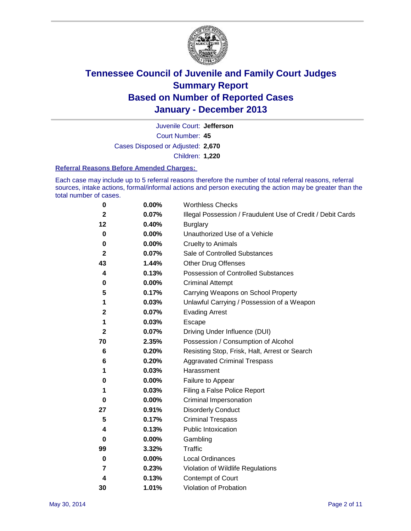

Court Number: **45** Juvenile Court: **Jefferson** Cases Disposed or Adjusted: **2,670** Children: **1,220**

#### **Referral Reasons Before Amended Charges:**

Each case may include up to 5 referral reasons therefore the number of total referral reasons, referral sources, intake actions, formal/informal actions and person executing the action may be greater than the total number of cases.

| 0            | 0.00% | <b>Worthless Checks</b>                                     |
|--------------|-------|-------------------------------------------------------------|
| $\mathbf{2}$ | 0.07% | Illegal Possession / Fraudulent Use of Credit / Debit Cards |
| 12           | 0.40% | <b>Burglary</b>                                             |
| 0            | 0.00% | Unauthorized Use of a Vehicle                               |
| 0            | 0.00% | <b>Cruelty to Animals</b>                                   |
| $\mathbf{2}$ | 0.07% | Sale of Controlled Substances                               |
| 43           | 1.44% | <b>Other Drug Offenses</b>                                  |
| 4            | 0.13% | Possession of Controlled Substances                         |
| 0            | 0.00% | <b>Criminal Attempt</b>                                     |
| 5            | 0.17% | Carrying Weapons on School Property                         |
| 1            | 0.03% | Unlawful Carrying / Possession of a Weapon                  |
| 2            | 0.07% | <b>Evading Arrest</b>                                       |
| 1            | 0.03% | Escape                                                      |
| $\mathbf{2}$ | 0.07% | Driving Under Influence (DUI)                               |
| 70           | 2.35% | Possession / Consumption of Alcohol                         |
| 6            | 0.20% | Resisting Stop, Frisk, Halt, Arrest or Search               |
| 6            | 0.20% | <b>Aggravated Criminal Trespass</b>                         |
| 1            | 0.03% | Harassment                                                  |
| 0            | 0.00% | Failure to Appear                                           |
| 1            | 0.03% | Filing a False Police Report                                |
| 0            | 0.00% | Criminal Impersonation                                      |
| 27           | 0.91% | <b>Disorderly Conduct</b>                                   |
| 5            | 0.17% | <b>Criminal Trespass</b>                                    |
| 4            | 0.13% | <b>Public Intoxication</b>                                  |
| 0            | 0.00% | Gambling                                                    |
| 99           | 3.32% | Traffic                                                     |
| 0            | 0.00% | Local Ordinances                                            |
| 7            | 0.23% | Violation of Wildlife Regulations                           |
| 4            | 0.13% | Contempt of Court                                           |
| 30           | 1.01% | Violation of Probation                                      |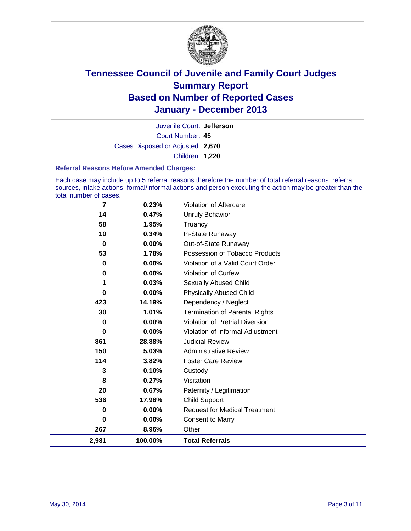

Court Number: **45** Juvenile Court: **Jefferson** Cases Disposed or Adjusted: **2,670** Children: **1,220**

#### **Referral Reasons Before Amended Charges:**

Each case may include up to 5 referral reasons therefore the number of total referral reasons, referral sources, intake actions, formal/informal actions and person executing the action may be greater than the total number of cases.

| 2,981       | 100.00%        | <b>Total Referrals</b>                 |
|-------------|----------------|----------------------------------------|
| 267         | 8.96%          | Other                                  |
| $\bf{0}$    | $0.00\%$       | <b>Consent to Marry</b>                |
| 0           | 0.00%          | <b>Request for Medical Treatment</b>   |
| 536         | 17.98%         | <b>Child Support</b>                   |
| 20          | 0.67%          | Paternity / Legitimation               |
| 8           | 0.27%          | Visitation                             |
| 3           | 0.10%          | Custody                                |
| 114         | 3.82%          | <b>Foster Care Review</b>              |
| 150         | 5.03%          | <b>Administrative Review</b>           |
| 861         | 28.88%         | <b>Judicial Review</b>                 |
| 0           | 0.00%          | Violation of Informal Adjustment       |
| 0           | $0.00\%$       | <b>Violation of Pretrial Diversion</b> |
| 30          | 1.01%          | <b>Termination of Parental Rights</b>  |
| 423         | 14.19%         | Dependency / Neglect                   |
| 0           | $0.00\%$       | <b>Physically Abused Child</b>         |
| 1           | 0.03%          | <b>Sexually Abused Child</b>           |
| 0           | $0.00\%$       | <b>Violation of Curfew</b>             |
| 0           | $0.00\%$       | Violation of a Valid Court Order       |
| 53          | 1.78%          | Possession of Tobacco Products         |
| $\mathbf 0$ | $0.00\%$       | Out-of-State Runaway                   |
| 10          | 0.34%          | Truancy<br>In-State Runaway            |
| 14<br>58    | 0.47%<br>1.95% | <b>Unruly Behavior</b>                 |
|             |                |                                        |
| 7           | 0.23%          | Violation of Aftercare                 |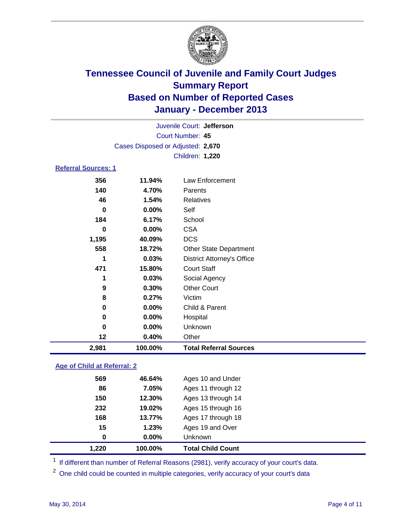

|                            | Juvenile Court: Jefferson         |                                   |  |  |
|----------------------------|-----------------------------------|-----------------------------------|--|--|
|                            | Court Number: 45                  |                                   |  |  |
|                            | Cases Disposed or Adjusted: 2,670 |                                   |  |  |
|                            |                                   | Children: 1,220                   |  |  |
| <b>Referral Sources: 1</b> |                                   |                                   |  |  |
| 356                        | 11.94%                            | Law Enforcement                   |  |  |
| 140                        | 4.70%                             | Parents                           |  |  |
| 46                         | 1.54%                             | <b>Relatives</b>                  |  |  |
| 0                          | 0.00%                             | Self                              |  |  |
| 184                        | 6.17%                             | School                            |  |  |
| 0                          | 0.00%                             | <b>CSA</b>                        |  |  |
| 1,195                      | 40.09%                            | <b>DCS</b>                        |  |  |
| 558                        | 18.72%                            | <b>Other State Department</b>     |  |  |
| 1                          | 0.03%                             | <b>District Attorney's Office</b> |  |  |
| 471                        | 15.80%                            | <b>Court Staff</b>                |  |  |
| 1                          | 0.03%                             | Social Agency                     |  |  |
| 9                          | 0.30%                             | <b>Other Court</b>                |  |  |
| 8                          | 0.27%                             | Victim                            |  |  |
| 0                          | 0.00%                             | Child & Parent                    |  |  |
| 0                          | 0.00%                             | Hospital                          |  |  |
| 0                          | 0.00%                             | Unknown                           |  |  |
| 12                         | 0.40%                             | Other                             |  |  |
| 2,981                      | 100.00%                           | <b>Total Referral Sources</b>     |  |  |

### **Age of Child at Referral: 2**

| 1.220 | 100.00%  | <b>Total Child Count</b> |
|-------|----------|--------------------------|
| 0     | $0.00\%$ | <b>Unknown</b>           |
| 15    | 1.23%    | Ages 19 and Over         |
| 168   | 13.77%   | Ages 17 through 18       |
| 232   | 19.02%   | Ages 15 through 16       |
| 150   | 12.30%   | Ages 13 through 14       |
| 86    | 7.05%    | Ages 11 through 12       |
| 569   | 46.64%   | Ages 10 and Under        |
|       |          |                          |

<sup>1</sup> If different than number of Referral Reasons (2981), verify accuracy of your court's data.

<sup>2</sup> One child could be counted in multiple categories, verify accuracy of your court's data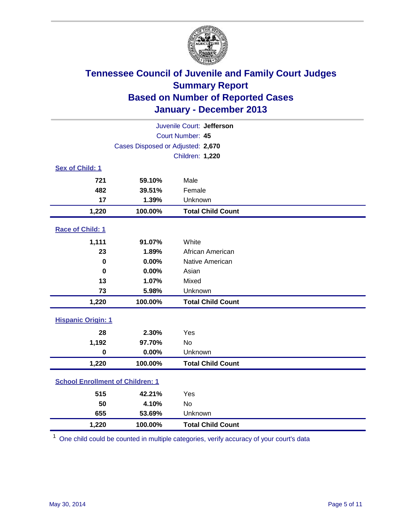

| Juvenile Court: Jefferson               |                                   |                          |  |  |  |
|-----------------------------------------|-----------------------------------|--------------------------|--|--|--|
|                                         | Court Number: 45                  |                          |  |  |  |
|                                         | Cases Disposed or Adjusted: 2,670 |                          |  |  |  |
|                                         |                                   | Children: 1,220          |  |  |  |
| Sex of Child: 1                         |                                   |                          |  |  |  |
| 721                                     | 59.10%                            | Male                     |  |  |  |
| 482                                     | 39.51%                            | Female                   |  |  |  |
| 17                                      | 1.39%                             | Unknown                  |  |  |  |
| 1,220                                   | 100.00%                           | <b>Total Child Count</b> |  |  |  |
| Race of Child: 1                        |                                   |                          |  |  |  |
| 1,111                                   | 91.07%                            | White                    |  |  |  |
| 23                                      | 1.89%                             | African American         |  |  |  |
| $\mathbf 0$                             | 0.00%                             | Native American          |  |  |  |
| $\mathbf 0$                             | 0.00%                             | Asian                    |  |  |  |
| 13                                      | 1.07%                             | Mixed                    |  |  |  |
| 73                                      | 5.98%                             | Unknown                  |  |  |  |
| 1,220                                   | 100.00%                           | <b>Total Child Count</b> |  |  |  |
| <b>Hispanic Origin: 1</b>               |                                   |                          |  |  |  |
| 28                                      | 2.30%                             | Yes                      |  |  |  |
| 1,192                                   | 97.70%                            | <b>No</b>                |  |  |  |
| $\mathbf 0$                             | 0.00%                             | Unknown                  |  |  |  |
| 1,220                                   | 100.00%                           | <b>Total Child Count</b> |  |  |  |
| <b>School Enrollment of Children: 1</b> |                                   |                          |  |  |  |
| 515                                     | 42.21%                            | Yes                      |  |  |  |
| 50                                      | 4.10%                             | <b>No</b>                |  |  |  |
| 655                                     | 53.69%                            | Unknown                  |  |  |  |
| 1,220                                   | 100.00%                           | <b>Total Child Count</b> |  |  |  |

<sup>1</sup> One child could be counted in multiple categories, verify accuracy of your court's data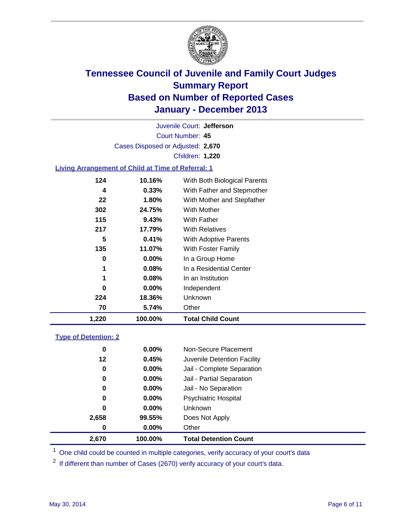

Court Number: **45** Juvenile Court: **Jefferson** Cases Disposed or Adjusted: **2,670** Children: **1,220**

### **Living Arrangement of Child at Time of Referral: 1**

| 1,220 | 100.00%  | <b>Total Child Count</b>     |  |
|-------|----------|------------------------------|--|
| 70    | 5.74%    | Other                        |  |
| 224   | 18.36%   | Unknown                      |  |
| 0     | $0.00\%$ | Independent                  |  |
| 1     | 0.08%    | In an Institution            |  |
| 1     | $0.08\%$ | In a Residential Center      |  |
| 0     | $0.00\%$ | In a Group Home              |  |
| 135   | 11.07%   | With Foster Family           |  |
| 5     | 0.41%    | With Adoptive Parents        |  |
| 217   | 17.79%   | <b>With Relatives</b>        |  |
| 115   | 9.43%    | With Father                  |  |
| 302   | 24.75%   | <b>With Mother</b>           |  |
| 22    | 1.80%    | With Mother and Stepfather   |  |
| 4     | $0.33\%$ | With Father and Stepmother   |  |
| 124   | 10.16%   | With Both Biological Parents |  |
|       |          |                              |  |

#### **Type of Detention: 2**

| 2,670 | 100.00%  | <b>Total Detention Count</b> |  |
|-------|----------|------------------------------|--|
| 0     | $0.00\%$ | Other                        |  |
| 2,658 | 99.55%   | Does Not Apply               |  |
| 0     | $0.00\%$ | <b>Unknown</b>               |  |
| 0     | $0.00\%$ | <b>Psychiatric Hospital</b>  |  |
| 0     | 0.00%    | Jail - No Separation         |  |
| 0     | $0.00\%$ | Jail - Partial Separation    |  |
| 0     | 0.00%    | Jail - Complete Separation   |  |
| 12    | 0.45%    | Juvenile Detention Facility  |  |
| 0     | 0.00%    | Non-Secure Placement         |  |
|       |          |                              |  |

<sup>1</sup> One child could be counted in multiple categories, verify accuracy of your court's data

<sup>2</sup> If different than number of Cases (2670) verify accuracy of your court's data.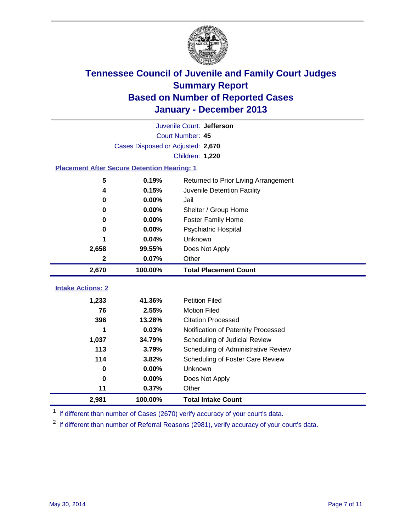

|                                                    | Juvenile Court: Jefferson         |                                      |  |  |  |
|----------------------------------------------------|-----------------------------------|--------------------------------------|--|--|--|
|                                                    | Court Number: 45                  |                                      |  |  |  |
|                                                    | Cases Disposed or Adjusted: 2,670 |                                      |  |  |  |
|                                                    |                                   | Children: 1,220                      |  |  |  |
| <b>Placement After Secure Detention Hearing: 1</b> |                                   |                                      |  |  |  |
| 5                                                  | 0.19%                             | Returned to Prior Living Arrangement |  |  |  |
| 4                                                  | 0.15%                             | Juvenile Detention Facility          |  |  |  |
| $\bf{0}$                                           | 0.00%                             | Jail                                 |  |  |  |
| 0                                                  | 0.00%                             | Shelter / Group Home                 |  |  |  |
| $\bf{0}$                                           | 0.00%                             | <b>Foster Family Home</b>            |  |  |  |
| 0                                                  | 0.00%                             | Psychiatric Hospital                 |  |  |  |
|                                                    | 0.04%                             | Unknown                              |  |  |  |
| 2,658                                              | 99.55%                            | Does Not Apply                       |  |  |  |
| 2                                                  | 0.07%                             | Other                                |  |  |  |
| 2,670                                              | 100.00%                           | <b>Total Placement Count</b>         |  |  |  |
|                                                    |                                   |                                      |  |  |  |
| <b>Intake Actions: 2</b>                           |                                   |                                      |  |  |  |
| 1,233                                              | 41.36%                            | <b>Petition Filed</b>                |  |  |  |
| 76                                                 | 2.55%                             | <b>Motion Filed</b>                  |  |  |  |
| 396                                                | 13.28%                            | <b>Citation Processed</b>            |  |  |  |
|                                                    | 0.03%                             | Notification of Paternity Processed  |  |  |  |
| 1,037                                              | 34.79%                            | Scheduling of Judicial Review        |  |  |  |
| 113                                                | 3.79%                             | Scheduling of Administrative Review  |  |  |  |
| 114                                                | 3.82%                             | Scheduling of Foster Care Review     |  |  |  |
| $\bf{0}$                                           | 0.00%                             | Unknown                              |  |  |  |
| $\bf{0}$                                           | 0.00%                             | Does Not Apply                       |  |  |  |
| 11                                                 | 0.37%                             | Other                                |  |  |  |
| 2,981                                              | 100.00%                           | <b>Total Intake Count</b>            |  |  |  |

<sup>1</sup> If different than number of Cases (2670) verify accuracy of your court's data.

<sup>2</sup> If different than number of Referral Reasons (2981), verify accuracy of your court's data.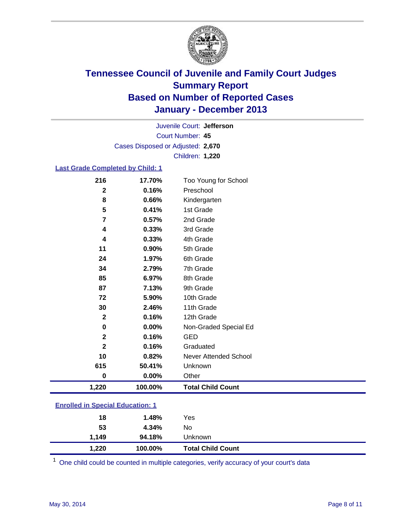

Court Number: **45** Juvenile Court: **Jefferson** Cases Disposed or Adjusted: **2,670** Children: **1,220**

### **Last Grade Completed by Child: 1**

| 1,220            | 100.00% | <b>Total Child Count</b> |
|------------------|---------|--------------------------|
| $\bf{0}$         | 0.00%   | Other                    |
| 615              | 50.41%  | Unknown                  |
| 10               | 0.82%   | Never Attended School    |
| $\mathbf{2}$     | 0.16%   | Graduated                |
| $\mathbf{2}$     | 0.16%   | <b>GED</b>               |
| 0                | 0.00%   | Non-Graded Special Ed    |
| $\mathbf{2}$     | 0.16%   | 12th Grade               |
| 30               | 2.46%   | 11th Grade               |
| 72               | 5.90%   | 10th Grade               |
| 87               | 7.13%   | 9th Grade                |
| 85               | 6.97%   | 8th Grade                |
| 34               | 2.79%   | 7th Grade                |
| 24               | 1.97%   | 6th Grade                |
| 11               | 0.90%   | 5th Grade                |
| 4                | 0.33%   | 4th Grade                |
| 4                | 0.33%   | 3rd Grade                |
| 7                | 0.57%   | 2nd Grade                |
| 5                | 0.41%   | 1st Grade                |
| 8                | 0.66%   | Kindergarten             |
| $\boldsymbol{2}$ | 0.16%   | Preschool                |
| 216              | 17.70%  | Too Young for School     |

|                                         | 1.220 | 100.00% | <b>Total Child Count</b> |  |
|-----------------------------------------|-------|---------|--------------------------|--|
|                                         | 1.149 | 94.18%  | <b>Unknown</b>           |  |
|                                         | 53    | 4.34%   | No.                      |  |
|                                         | 18    | 1.48%   | Yes                      |  |
| <b>Enrolled in Special Education: 1</b> |       |         |                          |  |

One child could be counted in multiple categories, verify accuracy of your court's data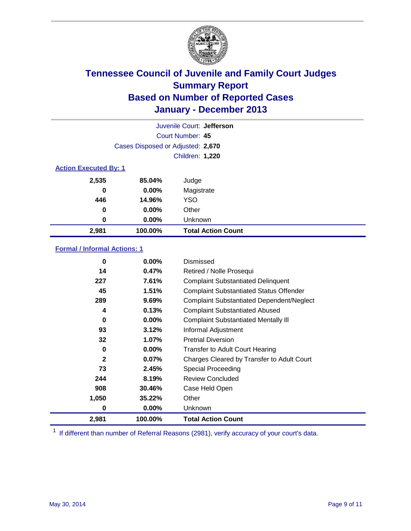

| Juvenile Court: Jefferson    |                                   |                           |  |  |
|------------------------------|-----------------------------------|---------------------------|--|--|
|                              | Court Number: 45                  |                           |  |  |
|                              | Cases Disposed or Adjusted: 2,670 |                           |  |  |
|                              |                                   | Children: 1,220           |  |  |
| <b>Action Executed By: 1</b> |                                   |                           |  |  |
| 2,535                        | 85.04%                            | Judge                     |  |  |
| 0                            | $0.00\%$                          | Magistrate                |  |  |
| 446                          | 14.96%                            | <b>YSO</b>                |  |  |
| 0                            | $0.00\%$                          | Other                     |  |  |
| 0                            | $0.00\%$                          | Unknown                   |  |  |
| 2,981                        | 100.00%                           | <b>Total Action Count</b> |  |  |

### **Formal / Informal Actions: 1**

| 0            | $0.00\%$ | <b>Dismissed</b>                                 |
|--------------|----------|--------------------------------------------------|
| 14           | 0.47%    | Retired / Nolle Prosequi                         |
| 227          | 7.61%    | <b>Complaint Substantiated Delinquent</b>        |
| 45           | 1.51%    | <b>Complaint Substantiated Status Offender</b>   |
| 289          | 9.69%    | <b>Complaint Substantiated Dependent/Neglect</b> |
| 4            | 0.13%    | <b>Complaint Substantiated Abused</b>            |
| $\bf{0}$     | $0.00\%$ | <b>Complaint Substantiated Mentally III</b>      |
| 93           | 3.12%    | Informal Adjustment                              |
| 32           | 1.07%    | <b>Pretrial Diversion</b>                        |
| 0            | $0.00\%$ | <b>Transfer to Adult Court Hearing</b>           |
| $\mathbf{2}$ | 0.07%    | Charges Cleared by Transfer to Adult Court       |
| 73           | 2.45%    | Special Proceeding                               |
| 244          | 8.19%    | <b>Review Concluded</b>                          |
| 908          | 30.46%   | Case Held Open                                   |
| 1,050        | 35.22%   | Other                                            |
| 0            | $0.00\%$ | Unknown                                          |
| 2,981        | 100.00%  | <b>Total Action Count</b>                        |

<sup>1</sup> If different than number of Referral Reasons (2981), verify accuracy of your court's data.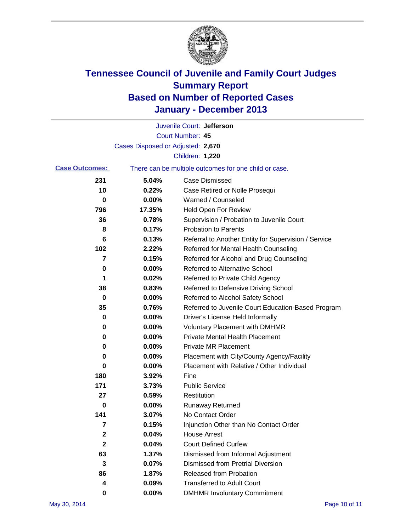

|                       |                                   | Juvenile Court: Jefferson                             |
|-----------------------|-----------------------------------|-------------------------------------------------------|
|                       |                                   | Court Number: 45                                      |
|                       | Cases Disposed or Adjusted: 2,670 |                                                       |
|                       |                                   | Children: 1,220                                       |
| <b>Case Outcomes:</b> |                                   | There can be multiple outcomes for one child or case. |
| 231                   | 5.04%                             | Case Dismissed                                        |
| 10                    | 0.22%                             | Case Retired or Nolle Prosequi                        |
| 0                     | 0.00%                             | Warned / Counseled                                    |
| 796                   | 17.35%                            | <b>Held Open For Review</b>                           |
| 36                    | 0.78%                             | Supervision / Probation to Juvenile Court             |
| 8                     | 0.17%                             | <b>Probation to Parents</b>                           |
| 6                     | 0.13%                             | Referral to Another Entity for Supervision / Service  |
| 102                   | 2.22%                             | Referred for Mental Health Counseling                 |
| 7                     | 0.15%                             | Referred for Alcohol and Drug Counseling              |
| 0                     | 0.00%                             | <b>Referred to Alternative School</b>                 |
| 1                     | 0.02%                             | Referred to Private Child Agency                      |
| 38                    | 0.83%                             | Referred to Defensive Driving School                  |
| $\mathbf 0$           | 0.00%                             | Referred to Alcohol Safety School                     |
| 35                    | 0.76%                             | Referred to Juvenile Court Education-Based Program    |
| 0                     | 0.00%                             | Driver's License Held Informally                      |
| 0                     | 0.00%                             | <b>Voluntary Placement with DMHMR</b>                 |
| 0                     | 0.00%                             | <b>Private Mental Health Placement</b>                |
| 0                     | 0.00%                             | <b>Private MR Placement</b>                           |
| 0                     | 0.00%                             | Placement with City/County Agency/Facility            |
| 0                     | 0.00%                             | Placement with Relative / Other Individual            |
| 180                   | 3.92%                             | Fine                                                  |
| 171                   | 3.73%                             | <b>Public Service</b>                                 |
| 27                    | 0.59%                             | Restitution                                           |
| 0                     | 0.00%                             | <b>Runaway Returned</b>                               |
| 141                   | 3.07%                             | No Contact Order                                      |
| 7                     | 0.15%                             | Injunction Other than No Contact Order                |
| 2                     | 0.04%                             | <b>House Arrest</b>                                   |
| $\mathbf 2$           | 0.04%                             | <b>Court Defined Curfew</b>                           |
| 63                    | 1.37%                             | Dismissed from Informal Adjustment                    |
| 3                     | 0.07%                             | <b>Dismissed from Pretrial Diversion</b>              |
| 86                    | 1.87%                             | Released from Probation                               |
| 4                     | 0.09%                             | <b>Transferred to Adult Court</b>                     |
| 0                     | $0.00\%$                          | <b>DMHMR Involuntary Commitment</b>                   |